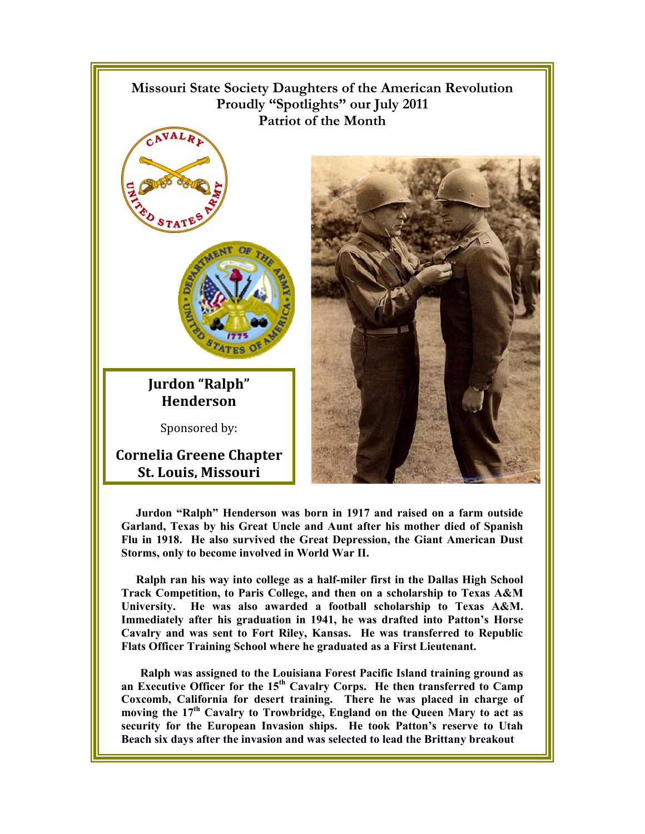

**Jurdon "Ralph" Henderson was born in 1917 and raised on a farm outside Garland, Texas by his Great Uncle and Aunt after his mother died of Spanish Flu in 1918. He also survived the Great Depression, the Giant American Dust Storms, only to become involved in World War II.** 

**Ralph ran his way into college as a half-miler first in the Dallas High School Track Competition, to Paris College, and then on a scholarship to Texas A&M University. He was also awarded a football scholarship to Texas A&M. Immediately after his graduation in 1941, he was drafted into Patton's Horse Cavalry and was sent to Fort Riley, Kansas. He was transferred to Republic Flats Officer Training School where he graduated as a First Lieutenant.** 

**Ralph was assigned to the Louisiana Forest Pacific Island training ground as an Executive Officer for the 15th Cavalry Corps. He then transferred to Camp Coxcomb, California for desert training. There he was placed in charge of moving the 17th Cavalry to Trowbridge, England on the Queen Mary to act as security for the European Invasion ships. He took Patton's reserve to Utah Beach six days after the invasion and was selected to lead the Brittany breakout**